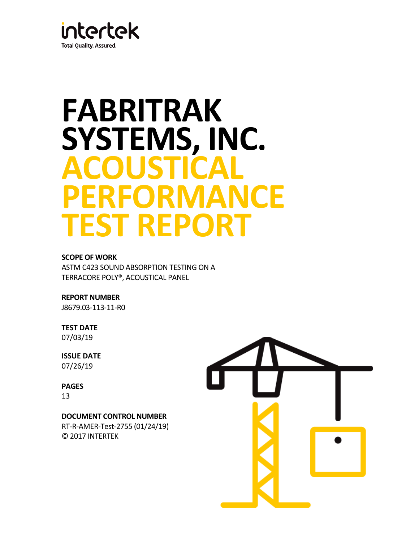

# **FABRITRAK SYSTEMS, INC. ACOUSTICAL PERFORMANCE TEST REPORT**

## **SCOPE OF WORK**

ASTM C423 SOUND ABSORPTION TESTING ON A TERRACORE POLY®, ACOUSTICAL PANEL

**REPORT NUMBER** J8679.03-113-11-R0

**TEST DATE** 07/03/19

**ISSUE DATE** 07/26/19

**PAGES** 13

## **DOCUMENT CONTROL NUMBER**

RT-R-AMER-Test-2755 (01/24/19) © 2017 INTERTEK

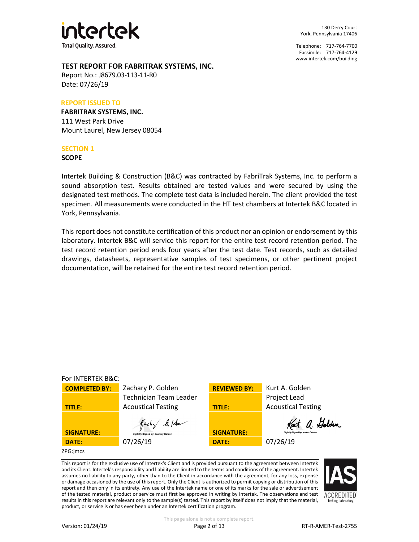

130 Derry Court York, Pennsylvania 17406

Telephone: 717-764-7700 Facsimile: 717-764-4129 [www.intertek.com/building](http://www.intertek.com/building)

## **TEST REPORT FOR FABRITRAK SYSTEMS, INC.**

Report No.: J8679.03-113-11-R0 Date: 07/26/19

#### **REPORT ISSUED TO**

**FABRITRAK SYSTEMS, INC.** 111 West Park Drive Mount Laurel, New Jersey 08054

#### **SECTION 1**

**SCOPE**

Intertek Building & Construction (B&C) was contracted by FabriTrak Systems, Inc. to perform a sound absorption test. Results obtained are tested values and were secured by using the designated test methods. The complete test data is included herein. The client provided the test specimen. All measurements were conducted in the HT test chambers at Intertek B&C located in York, Pennsylvania.

This report does not constitute certification of this product nor an opinion or endorsement by this laboratory. Intertek B&C will service this report for the entire test record retention period. The test record retention period ends four years after the test date. Test records, such as detailed drawings, datasheets, representative samples of test specimens, or other pertinent project documentation, will be retained for the entire test record retention period.



This report is for the exclusive use of Intertek's Client and is provided pursuant to the agreement between Intertek and its Client. Intertek's responsibility and liability are limited to the terms and conditions of the agreement. Intertek assumes no liability to any party, other than to the Client in accordance with the agreement, for any loss, expense or damage occasioned by the use of this report. Only the Client is authorized to permit copying or distribution of this report and then only in its entirety. Any use of the Intertek name or one of its marks for the sale or advertisement of the tested material, product or service must first be approved in writing by Intertek. The observations and test results in this report are relevant only to the sample(s) tested. This report by itself does not imply that the material, product, or service is or has ever been under an Intertek certification program.

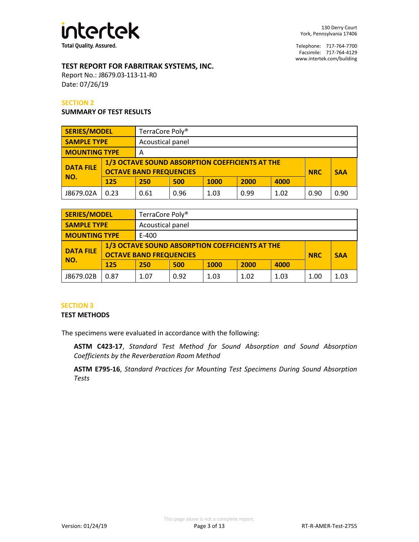

## **TEST REPORT FOR FABRITRAK SYSTEMS, INC.**

Report No.: J8679.03-113-11-R0 Date: 07/26/19

#### **SECTION 2**

#### **SUMMARY OF TEST RESULTS**

| <b>SERIES/MODEL</b>                    |      | TerraCore Poly <sup>®</sup>          |                                                                                                 |             |      |      |  |            |
|----------------------------------------|------|--------------------------------------|-------------------------------------------------------------------------------------------------|-------------|------|------|--|------------|
| <b>SAMPLE TYPE</b><br>Acoustical panel |      |                                      |                                                                                                 |             |      |      |  |            |
| <b>MOUNTING TYPE</b>                   |      | Α                                    |                                                                                                 |             |      |      |  |            |
| <b>DATA FILE</b>                       |      |                                      | 1/3 OCTAVE SOUND ABSORPTION COEFFICIENTS AT THE<br><b>OCTAVE BAND FREQUENCIES</b><br><b>NRC</b> |             |      |      |  | <b>SAA</b> |
| NO.                                    | 125  | 250                                  | 500                                                                                             | <b>1000</b> | 2000 | 4000 |  |            |
| J8679.02A                              | 0.23 | 0.99<br>0.96<br>1.03<br>1.02<br>0.61 |                                                                                                 |             |      |      |  | 0.90       |

| <b>SERIES/MODEL</b>                    |      | TerraCore Poly <sup>®</sup> |                                                                                                 |             |      |      |  |            |
|----------------------------------------|------|-----------------------------|-------------------------------------------------------------------------------------------------|-------------|------|------|--|------------|
| Acoustical panel<br><b>SAMPLE TYPE</b> |      |                             |                                                                                                 |             |      |      |  |            |
| <b>MOUNTING TYPE</b>                   |      | E-400                       |                                                                                                 |             |      |      |  |            |
| <b>DATA FILE</b>                       |      |                             | 1/3 OCTAVE SOUND ABSORPTION COEFFICIENTS AT THE<br><b>OCTAVE BAND FREQUENCIES</b><br><b>NRC</b> |             |      |      |  | <b>SAA</b> |
| NO.                                    | 125  | 250                         | 500                                                                                             | <b>1000</b> | 2000 | 4000 |  |            |
| J8679.02B                              | 0.87 | 1.07                        | 0.92                                                                                            | 1.03        | 1.00 | 1.03 |  |            |

## **SECTION 3**

## **TEST METHODS**

The specimens were evaluated in accordance with the following:

**ASTM C423-17**, *Standard Test Method for Sound Absorption and Sound Absorption Coefficients by the Reverberation Room Method*

**ASTM E795-16**, *Standard Practices for Mounting Test Specimens During Sound Absorption Tests*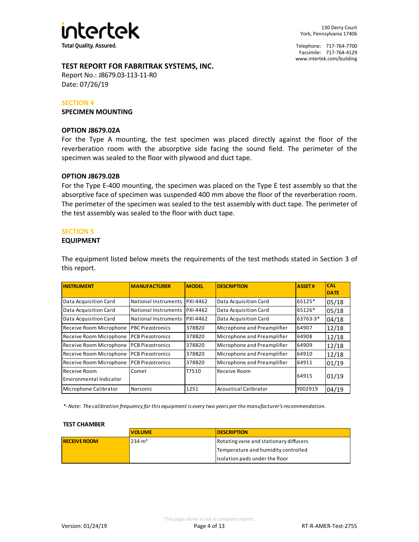

## **TEST REPORT FOR FABRITRAK SYSTEMS, INC.**

Report No.: J8679.03-113-11-R0 Date: 07/26/19

#### **SECTION 4**

**SPECIMEN MOUNTING**

#### **OPTION J8679.02A**

For the Type A mounting, the test specimen was placed directly against the floor of the reverberation room with the absorptive side facing the sound field. The perimeter of the specimen was sealed to the floor with plywood and duct tape.

#### **OPTION J8679.02B**

For the Type E-400 mounting, the specimen was placed on the Type E test assembly so that the absorptive face of specimen was suspended 400 mm above the floor of the reverberation room. The perimeter of the specimen was sealed to the test assembly with duct tape. The perimeter of the test assembly was sealed to the floor with duct tape.

## **SECTION 5**

#### **EQUIPMENT**

The equipment listed below meets the requirements of the test methods stated in Section 3 of this report.

| <b>INSTRUMENT</b>                       | <b>MANUFACTURER</b>      | <b>MODEL</b>    | <b>DESCRIPTION</b>           | <b>ASSET#</b> | <b>CAL</b><br><b>DATE</b> |
|-----------------------------------------|--------------------------|-----------------|------------------------------|---------------|---------------------------|
| Data Acquisition Card                   | National Instruments     | <b>PXI-4462</b> | Data Acquisition Card        | 65125*        | 05/18                     |
| Data Acquisition Card                   | National Instruments     | <b>PXI-4462</b> | Data Acquisition Card        | 65126*        | 05/18                     |
| Data Acquisition Card                   | National Instruments     | <b>PXI-4462</b> | Data Acquisition Card        | 63763-3*      | 04/18                     |
| Receive Room Microphone                 | <b>IPBC Piezotronics</b> | 378B20          | Microphone and Preamplifier  | 64907         | 12/18                     |
| Receive Room Microphone                 | <b>PCB Piezotronics</b>  | 378B20          | Microphone and Preamplifier  | 64908         | 12/18                     |
| Receive Room Microphone                 | IPCB Piezotronics        | 378B20          | Microphone and Preamplifier  | 64909         | 12/18                     |
| Receive Room Microphone                 | IPCB Piezotronics        | 378B20          | Microphone and Preamplifier  | 64910         | 12/18                     |
| Receive Room Microphone                 | <b>PCB Piezotronics</b>  | 378B20          | Microphone and Preamplifier  | 64911         | 01/19                     |
| Receive Room<br>Environmental Indicator | Comet                    | T7510           | Receive Room                 | 64915         | 01/19                     |
| Microphone Calibrator                   | Norsonic                 | 1251            | <b>Acoustical Calibrator</b> | Y002919       | 04/19                     |

*\*- Note: The calibration frequency for this equipment is every two years per the manufacturer's recommendation.*

#### **TEST CHAMBER**

|                     | <b>VOLUME</b>     | <b>IDESCRIPTION</b>                    |
|---------------------|-------------------|----------------------------------------|
| <b>RECEIVE ROOM</b> | $234 \text{ m}^3$ | Rotating vane and stationary diffusers |
|                     |                   | Temperature and humidity controlled    |
|                     |                   | Isolation pads under the floor         |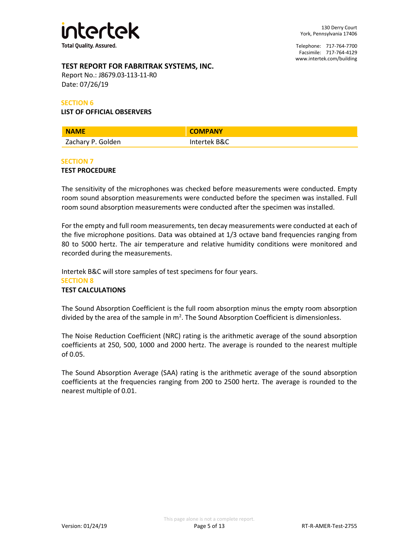

## **TEST REPORT FOR FABRITRAK SYSTEMS, INC.**

Report No.: J8679.03-113-11-R0 Date: 07/26/19

#### **SECTION 6**

#### **LIST OF OFFICIAL OBSERVERS**

| <b>NAME</b>       | <b>COMPANY</b> |
|-------------------|----------------|
| Zachary P. Golden | Intertek B&C   |

#### **SECTION 7**

#### **TEST PROCEDURE**

The sensitivity of the microphones was checked before measurements were conducted. Empty room sound absorption measurements were conducted before the specimen was installed. Full room sound absorption measurements were conducted after the specimen was installed.

For the empty and full room measurements, ten decay measurements were conducted at each of the five microphone positions. Data was obtained at 1/3 octave band frequencies ranging from 80 to 5000 hertz. The air temperature and relative humidity conditions were monitored and recorded during the measurements.

Intertek B&C will store samples of test specimens for four years. **SECTION 8 TEST CALCULATIONS**

The Sound Absorption Coefficient is the full room absorption minus the empty room absorption divided by the area of the sample in  $m^2$ . The Sound Absorption Coefficient is dimensionless.

The Noise Reduction Coefficient (NRC) rating is the arithmetic average of the sound absorption coefficients at 250, 500, 1000 and 2000 hertz. The average is rounded to the nearest multiple of 0.05.

The Sound Absorption Average (SAA) rating is the arithmetic average of the sound absorption coefficients at the frequencies ranging from 200 to 2500 hertz. The average is rounded to the nearest multiple of 0.01.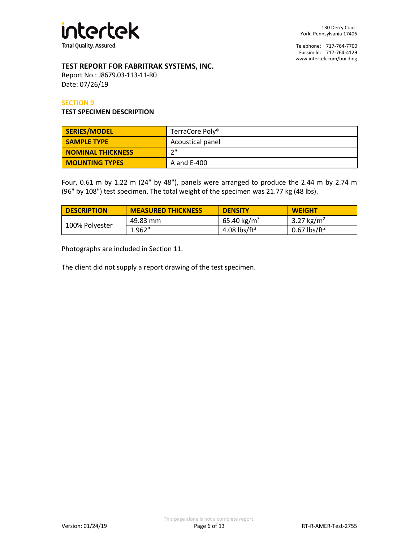

## **TEST REPORT FOR FABRITRAK SYSTEMS, INC.**

Report No.: J8679.03-113-11-R0 Date: 07/26/19

#### **SECTION 9**

#### **TEST SPECIMEN DESCRIPTION**

| SERIES/MODEL             | TerraCore Poly <sup>®</sup> |
|--------------------------|-----------------------------|
| <b>SAMPLE TYPE</b>       | Acoustical panel            |
| <b>NOMINAL THICKNESS</b> | ייר                         |
| <b>MOUNTING TYPES</b>    | A and E-400                 |

Four, 0.61 m by 1.22 m (24" by 48"), panels were arranged to produce the 2.44 m by 2.74 m (96" by 108") test specimen. The total weight of the specimen was 21.77 kg (48 lbs).

| <b>DESCRIPTION</b> | <b>MEASURED THICKNESS</b> | <b>DENSITY</b>          | <b>WEIGHT</b>            |
|--------------------|---------------------------|-------------------------|--------------------------|
| 100% Polyester     | 49.83 mm                  | 65.40 kg/m <sup>3</sup> | 3.27 kg/m <sup>2</sup>   |
|                    | 1.962"                    | 4.08 lbs/ft $3$         | 0.67 lbs/ft <sup>2</sup> |

Photographs are included in Section 11.

The client did not supply a report drawing of the test specimen.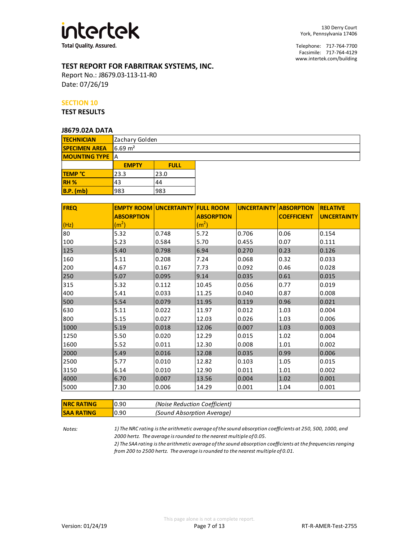

## **TEST REPORT FOR FABRITRAK SYSTEMS, INC.**

Report No.: J8679.03-113-11-R0 Date: 07/26/19

#### **SECTION 10**

**TEST RESULTS**

#### **J8679.02A DATA**

| <b>TECHNICIAN</b>      |                    | Zachary Golden |  |  |  |
|------------------------|--------------------|----------------|--|--|--|
| <b>SPECIMEN AREA</b>   | $6.69 \text{ m}^2$ |                |  |  |  |
| <b>MOUNTING TYPE</b> A |                    |                |  |  |  |
|                        | <b>EMPTY</b>       | <b>FULL</b>    |  |  |  |
| TEMP °C                | 23.3               | 23.0           |  |  |  |
| RH <sub>%</sub>        | 43                 | 44             |  |  |  |
| <b>B.P.</b> (mb)       | 983                | 983            |  |  |  |

| <b>FREQ</b> |                   | <b>EMPTY ROOM UNCERTAINTY FULL ROOM</b> |                   | <b>UNCERTAINTY ABSORPTION</b> |                    | <b>RELATIVE</b>    |
|-------------|-------------------|-----------------------------------------|-------------------|-------------------------------|--------------------|--------------------|
|             | <b>ABSORPTION</b> |                                         | <b>ABSORPTION</b> |                               | <b>COEFFICIENT</b> | <b>UNCERTAINTY</b> |
| (Hz)        | (m <sup>2</sup> ) |                                         | (m <sup>2</sup> ) |                               |                    |                    |
| 80          | 5.32              | 0.748                                   | 5.72              | 0.706                         | 0.06               | 0.154              |
| 100         | 5.23              | 0.584                                   | 5.70              | 0.455                         | 0.07               | 0.111              |
| 125         | 5.40              | 0.798                                   | 6.94              | 0.270                         | 0.23               | 0.126              |
| 160         | 5.11              | 0.208                                   | 7.24              | 0.068                         | 0.32               | 0.033              |
| 200         | 4.67              | 0.167                                   | 7.73              | 0.092                         | 0.46               | 0.028              |
| 250         | 5.07              | 0.095                                   | 9.14              | 0.035                         | 0.61               | 0.015              |
| 315         | 5.32              | 0.112                                   | 10.45             | 0.056                         | 0.77               | 0.019              |
| 400         | 5.41              | 0.033                                   | 11.25             | 0.040                         | 0.87               | 0.008              |
| 500         | 5.54              | 0.079                                   | 11.95             | 0.119                         | 0.96               | 0.021              |
| 630         | 5.11              | 0.022                                   | 11.97             | 0.012                         | 1.03               | 0.004              |
| 800         | 5.15              | 0.027                                   | 12.03             | 0.026                         | 1.03               | 0.006              |
| 1000        | 5.19              | 0.018                                   | 12.06             | 0.007                         | 1.03               | 0.003              |
| 1250        | 5.50              | 0.020                                   | 12.29             | 0.015                         | 1.02               | 0.004              |
| 1600        | 5.52              | 0.011                                   | 12.30             | 0.008                         | 1.01               | 0.002              |
| 2000        | 5.49              | 0.016                                   | 12.08             | 0.035                         | 0.99               | 0.006              |
| 2500        | 5.77              | 0.010                                   | 12.82             | 0.103                         | 1.05               | 0.015              |
| 3150        | 6.14              | 0.010                                   | 12.90             | 0.011                         | 1.01               | 0.002              |
| 4000        | 6.70              | 0.007                                   | 13.56             | 0.004                         | 1.02               | 0.001              |
| 5000        | 7.30              | 0.006                                   | 14.29             | 0.001                         | 1.04               | 0.001              |

| <b>NRC RATING</b> | 0.90 | (Noise Reduction Coefficient) |
|-------------------|------|-------------------------------|
| <b>SAA RATING</b> | 0.90 | (Sound Absorption Average)    |

*Notes:*

*1) The NRC rating is the arithmetic average of the sound absorption coefficients at 250, 500, 1000, and 2000 hertz. The average is rounded to the nearest multiple of 0.05.*

*2) The SAA rating is the arithmetic average of the sound absorption coefficients at the frequencies ranging from 200 to 2500 hertz. The average is rounded to the nearest multiple of 0.01.*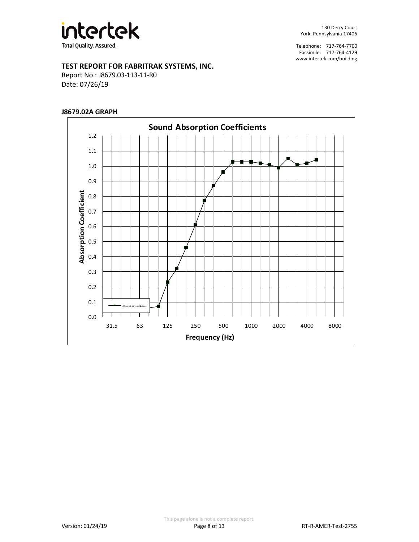

## **TEST REPORT FOR FABRITRAK SYSTEMS, INC.**

Report No.: J8679.03-113-11-R0 Date: 07/26/19

#### **J8679.02A GRAPH**

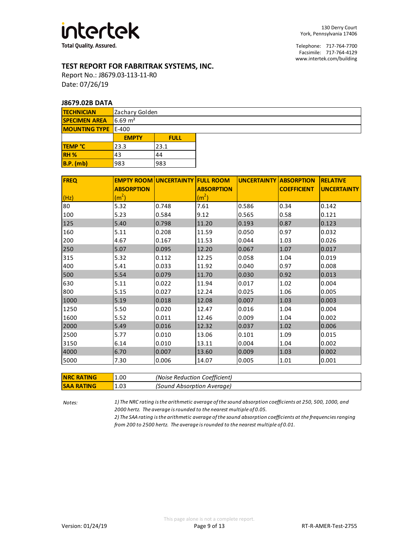

## **TEST REPORT FOR FABRITRAK SYSTEMS, INC.**

Report No.: J8679.03-113-11-R0 Date: 07/26/19

#### **J8679.02B DATA**

| <b>TECHNICIAN</b>          |                     | Zachary Golden |  |  |  |  |
|----------------------------|---------------------|----------------|--|--|--|--|
| <b>SPECIMEN AREA</b>       | $16.69 \text{ m}^2$ |                |  |  |  |  |
| <b>MOUNTING TYPE</b> E-400 |                     |                |  |  |  |  |
|                            | <b>EMPTY</b>        | <b>FULL</b>    |  |  |  |  |
| <b>TEMP °C</b>             | 23.3                | 23.1           |  |  |  |  |
| RH <sub>%</sub>            | 43                  | 44             |  |  |  |  |
| $B.P.$ (mb)                | 983                 | 983            |  |  |  |  |

| <b>FREQ</b> |                   | <b>EMPTY ROOM UNCERTAINTY FULL ROOM</b> |                   | <b>UNCERTAINTY ABSORPTION</b> |                    | <b>RELATIVE</b>    |
|-------------|-------------------|-----------------------------------------|-------------------|-------------------------------|--------------------|--------------------|
|             | <b>ABSORPTION</b> |                                         | <b>ABSORPTION</b> |                               | <b>COEFFICIENT</b> | <b>UNCERTAINTY</b> |
| (Hz)        | (m <sup>2</sup> ) |                                         | (m <sup>2</sup> ) |                               |                    |                    |
| 80          | 5.32              | 0.748                                   | 7.61              | 0.586                         | 0.34               | 0.142              |
| 100         | 5.23              | 0.584                                   | 9.12              | 0.565                         | 0.58               | 0.121              |
| 125         | 5.40              | 0.798                                   | 11.20             | 0.193                         | 0.87               | 0.123              |
| 160         | 5.11              | 0.208                                   | 11.59             | 0.050                         | 0.97               | 0.032              |
| 200         | 4.67              | 0.167                                   | 11.53             | 0.044                         | 1.03               | 0.026              |
| 250         | 5.07              | 0.095                                   | 12.20             | 0.067                         | 1.07               | 0.017              |
| 315         | 5.32              | 0.112                                   | 12.25             | 0.058                         | 1.04               | 0.019              |
| 400         | 5.41              | 0.033                                   | 11.92             | 0.040                         | 0.97               | 0.008              |
| 500         | 5.54              | 0.079                                   | 11.70             | 0.030                         | 0.92               | 0.013              |
| 630         | 5.11              | 0.022                                   | 11.94             | 0.017                         | 1.02               | 0.004              |
| 800         | 5.15              | 0.027                                   | 12.24             | 0.025                         | 1.06               | 0.005              |
| 1000        | 5.19              | 0.018                                   | 12.08             | 0.007                         | 1.03               | 0.003              |
| 1250        | 5.50              | 0.020                                   | 12.47             | 0.016                         | 1.04               | 0.004              |
| 1600        | 5.52              | 0.011                                   | 12.46             | 0.009                         | 1.04               | 0.002              |
| 2000        | 5.49              | 0.016                                   | 12.32             | 0.037                         | 1.02               | 0.006              |
| 2500        | 5.77              | 0.010                                   | 13.06             | 0.101                         | 1.09               | 0.015              |
| 3150        | 6.14              | 0.010                                   | 13.11             | 0.004                         | 1.04               | 0.002              |
| 4000        | 6.70              | 0.007                                   | 13.60             | 0.009                         | 1.03               | 0.002              |
| 5000        | 7.30              | 0.006                                   | 14.07             | 0.005                         | 1.01               | 0.001              |

| <b>NRC RATING</b> | 1.00 | (Noise Reduction Coefficient) |
|-------------------|------|-------------------------------|
| <b>SAA RATING</b> | 1.03 | (Sound Absorption Average)    |

*Notes: 1) The NRC rating is the arithmetic average of the sound absorption coefficients at 250, 500, 1000, and 2000 hertz. The average is rounded to the nearest multiple of 0.05.*

> *2) The SAA rating is the arithmetic average of the sound absorption coefficients at the frequencies ranging from 200 to 2500 hertz. The average is rounded to the nearest multiple of 0.01.*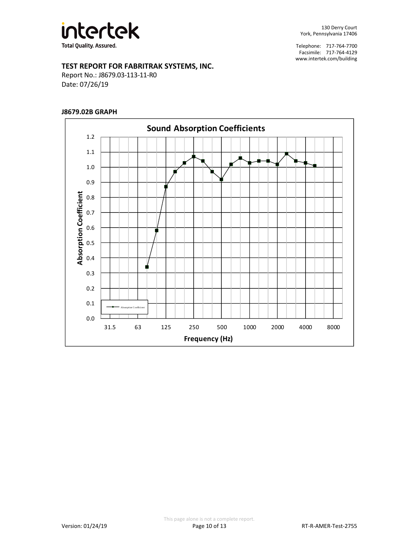

## **TEST REPORT FOR FABRITRAK SYSTEMS, INC.**

Report No.: J8679.03-113-11-R0 Date: 07/26/19

## **J8679.02B GRAPH**

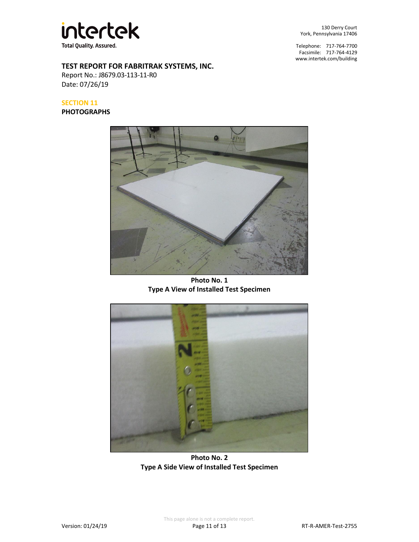

**TEST REPORT FOR FABRITRAK SYSTEMS, INC.**

Report No.: J8679.03-113-11-R0 Date: 07/26/19

## **SECTION 11**

#### **PHOTOGRAPHS**

130 Derry Court York, Pennsylvania 17406

Telephone: 717-764-7700 Facsimile: 717-764-4129 [www.intertek.com/building](http://www.intertek.com/building)



**Photo No. 1 Type A View of Installed Test Specimen**



**Photo No. 2 Type A Side View of Installed Test Specimen**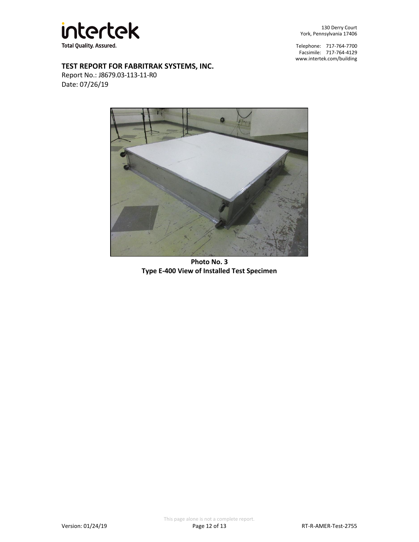

130 Derry Court York, Pennsylvania 17406

Telephone: 717-764-7700 Facsimile: 717-764-4129 [www.intertek.com/building](http://www.intertek.com/building)

## **TEST REPORT FOR FABRITRAK SYSTEMS, INC.**

Report No.: J8679.03-113-11-R0 Date: 07/26/19



**Photo No. 3 Type E-400 View of Installed Test Specimen**